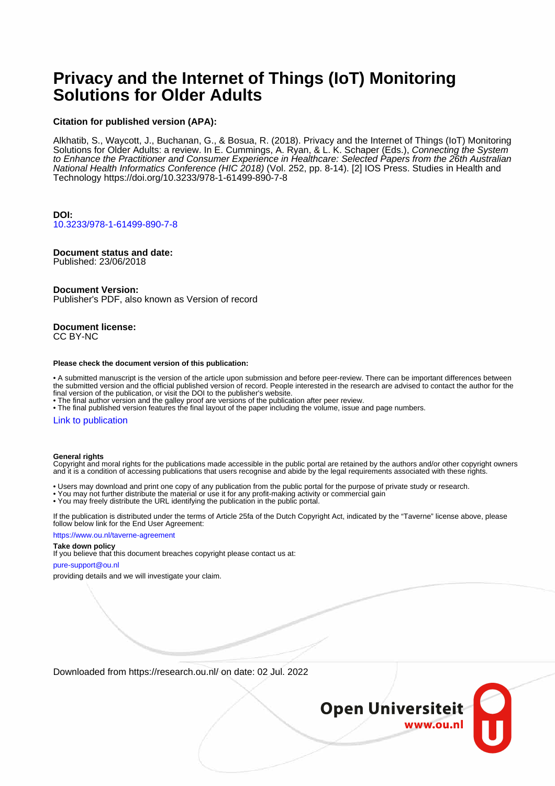# **Privacy and the Internet of Things (IoT) Monitoring Solutions for Older Adults**

## **Citation for published version (APA):**

Alkhatib, S., Waycott, J., Buchanan, G., & Bosua, R. (2018). Privacy and the Internet of Things (IoT) Monitoring Solutions for Older Adults: a review. In E. Cummings, A. Ryan, & L. K. Schaper (Eds.), Connecting the System to Enhance the Practitioner and Consumer Experience in Healthcare: Selected Papers from the 26th Australian National Health Informatics Conference (HIC 2018) (Vol. 252, pp. 8-14). [2] IOS Press. Studies in Health and Technology<https://doi.org/10.3233/978-1-61499-890-7-8>

## **DOI:** [10.3233/978-1-61499-890-7-8](https://doi.org/10.3233/978-1-61499-890-7-8)

## **Document status and date:**

Published: 23/06/2018

## **Document Version:**

Publisher's PDF, also known as Version of record

#### **Document license:** CC BY-NC

#### **Please check the document version of this publication:**

• A submitted manuscript is the version of the article upon submission and before peer-review. There can be important differences between the submitted version and the official published version of record. People interested in the research are advised to contact the author for the final version of the publication, or visit the DOI to the publisher's website.

• The final author version and the galley proof are versions of the publication after peer review.

• The final published version features the final layout of the paper including the volume, issue and page numbers.

### [Link to publication](https://research.ou.nl/en/publications/437c5c0c-61c8-4068-bd8e-931108879063)

### **General rights**

Copyright and moral rights for the publications made accessible in the public portal are retained by the authors and/or other copyright owners and it is a condition of accessing publications that users recognise and abide by the legal requirements associated with these rights.

- Users may download and print one copy of any publication from the public portal for the purpose of private study or research.
- You may not further distribute the material or use it for any profit-making activity or commercial gain
- You may freely distribute the URL identifying the publication in the public portal.

If the publication is distributed under the terms of Article 25fa of the Dutch Copyright Act, indicated by the "Taverne" license above, please follow below link for the End User Agreement:

### https://www.ou.nl/taverne-agreement

## **Take down policy**

If you believe that this document breaches copyright please contact us at:

#### pure-support@ou.nl

providing details and we will investigate your claim.

Downloaded from https://research.ou.nl/ on date: 02 Jul. 2022

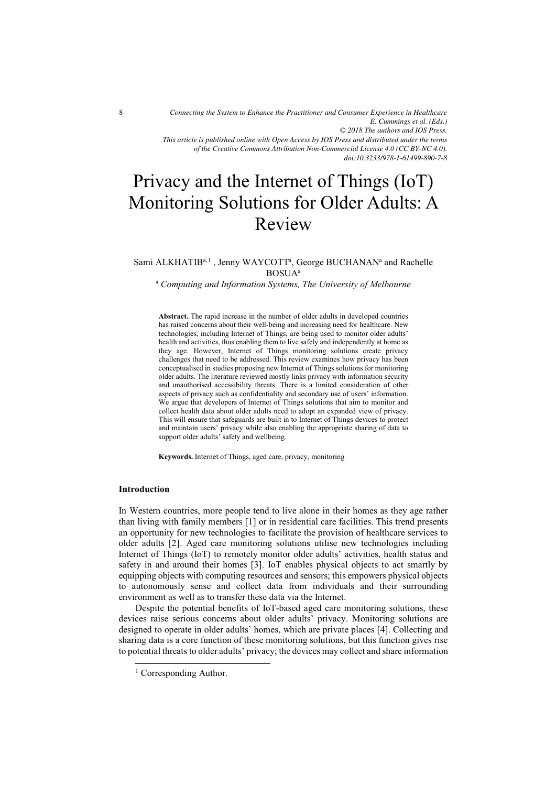*Connecting the System to Enhance the Practitioner and Consumer Experience in Healthcare E. Cummings et al. (Eds.) © 2018 The authors and IOS Press. This article is published online with Open Access by IOS Press and distributed under the terms of the Creative Commons Attribution Non-Commercial License 4.0 (CC BY-NC 4.0).*

## *doi:10.3233/978-1-61499-890-7-8*

# Privacy and the Internet of Things (IoT) Monitoring Solutions for Older Adults: A Review

## Sami ALKHATIB<sup>a, 1</sup>, Jenny WAYCOTT<sup>a</sup>, George BUCHANAN<sup>a</sup> and Rachelle BOSUAa a  *Computing and Information Systems, The University of Melbourne*

**Abstract.** The rapid increase in the number of older adults in developed countries has raised concerns about their well-being and increasing need for healthcare. New technologies, including Internet of Things, are being used to monitor older adults' health and activities, thus enabling them to live safely and independently at home as they age. However, Internet of Things monitoring solutions create privacy challenges that need to be addressed. This review examines how privacy has been conceptualised in studies proposing new Internet of Things solutions for monitoring older adults. The literature reviewed mostly links privacy with information security and unauthorised accessibility threats. There is a limited consideration of other aspects of privacy such as confidentiality and secondary use of users' information. We argue that developers of Internet of Things solutions that aim to monitor and collect health data about older adults need to adopt an expanded view of privacy. This will ensure that safeguards are built in to Internet of Things devices to protect and maintain users' privacy while also enabling the appropriate sharing of data to support older adults' safety and wellbeing.

**Keywords.** Internet of Things, aged care, privacy, monitoring

## **Introduction**

-

In Western countries, more people tend to live alone in their homes as they age rather than living with family members [1] or in residential care facilities. This trend presents an opportunity for new technologies to facilitate the provision of healthcare services to older adults [2]. Aged care monitoring solutions utilise new technologies including Internet of Things (IoT) to remotely monitor older adults' activities, health status and safety in and around their homes [3]. IoT enables physical objects to act smartly by equipping objects with computing resources and sensors; this empowers physical objects to autonomously sense and collect data from individuals and their surrounding environment as well as to transfer these data via the Internet.

Despite the potential benefits of IoT-based aged care monitoring solutions, these devices raise serious concerns about older adults' privacy. Monitoring solutions are designed to operate in older adults' homes, which are private places [4]. Collecting and sharing data is a core function of these monitoring solutions, but this function gives rise to potential threats to older adults' privacy; the devices may collect and share information

<sup>&</sup>lt;sup>1</sup> Corresponding Author.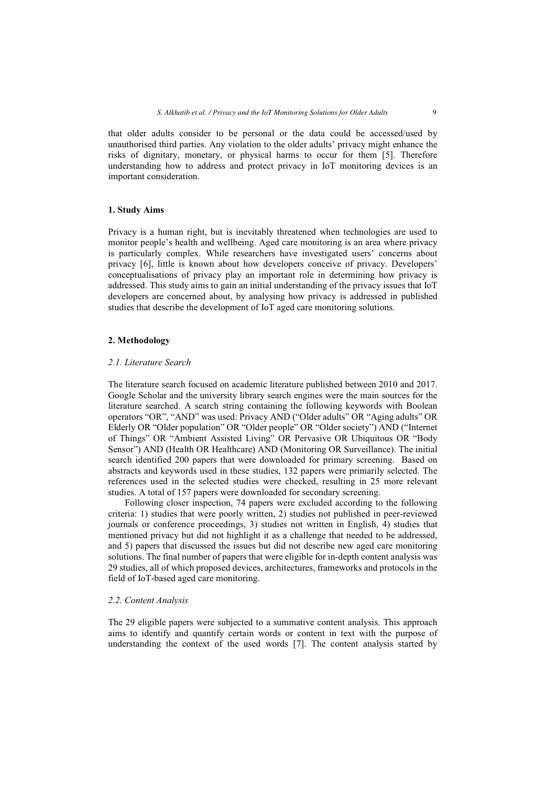unauthorised third parties. Any violation to the older adults' privacy might enhance the risks of dignitary, monetary, or physical harms to occur for them [5]. Therefore understanding how to address and protect privacy in IoT monitoring devices is an important consideration.

## **1. Study Aims**

Privacy is a human right, but is inevitably threatened when technologies are used to monitor people's health and wellbeing. Aged care monitoring is an area where privacy is particularly complex. While researchers have investigated users' concerns about privacy [6], little is known about how developers conceive of privacy. Developers' conceptualisations of privacy play an important role in determining how privacy is addressed. This study aims to gain an initial understanding of the privacy issues that IoT developers are concerned about, by analysing how privacy is addressed in published studies that describe the development of IoT aged care monitoring solutions.

## **2. Methodology**

## *2.1. Literature Search*

The literature search focused on academic literature published between 2010 and 2017. Google Scholar and the university library search engines were the main sources for the literature searched. A search string containing the following keywords with Boolean operators "OR", "AND" was used: Privacy AND ("Older adults" OR "Aging adults" OR Elderly OR "Older population" OR "Older people" OR "Older society") AND ("Internet of Things" OR "Ambient Assisted Living" OR Pervasive OR Ubiquitous OR "Body Sensor") AND (Health OR Healthcare) AND (Monitoring OR Surveillance). The initial search identified 200 papers that were downloaded for primary screening. Based on abstracts and keywords used in these studies, 132 papers were primarily selected. The references used in the selected studies were checked, resulting in 25 more relevant studies. A total of 157 papers were downloaded for secondary screening.

Following closer inspection, 74 papers were excluded according to the following criteria: 1) studies that were poorly written, 2) studies not published in peer-reviewed journals or conference proceedings, 3) studies not written in English, 4) studies that mentioned privacy but did not highlight it as a challenge that needed to be addressed, and 5) papers that discussed the issues but did not describe new aged care monitoring solutions. The final number of papers that were eligible for in-depth content analysis was 29 studies, all of which proposed devices, architectures, frameworks and protocols in the field of IoT-based aged care monitoring.

## *2.2. Content Analysis*

The 29 eligible papers were subjected to a summative content analysis. This approach aims to identify and quantify certain words or content in text with the purpose of understanding the context of the used words [7]. The content analysis started by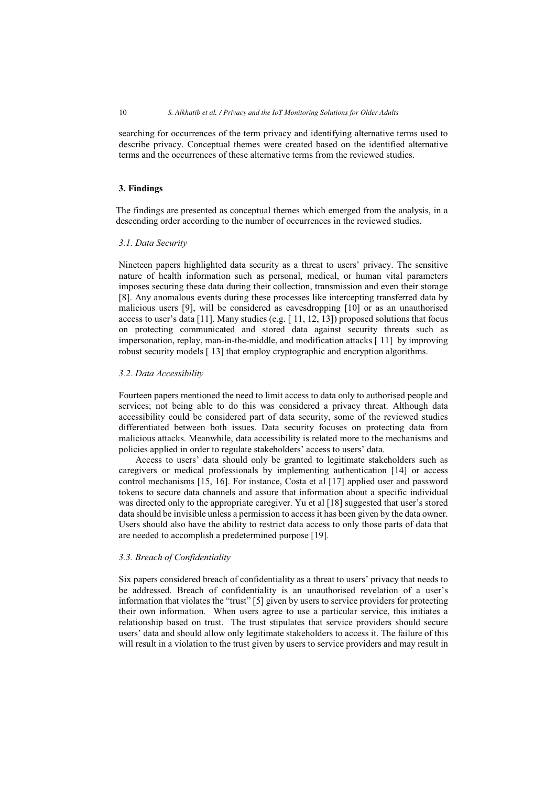searching for occurrences of the term privacy and identifying alternative terms used to describe privacy. Conceptual themes were created based on the identified alternative terms and the occurrences of these alternative terms from the reviewed studies.

## **3. Findings**

The findings are presented as conceptual themes which emerged from the analysis, in a descending order according to the number of occurrences in the reviewed studies.

## *3.1. Data Security*

Nineteen papers highlighted data security as a threat to users' privacy. The sensitive nature of health information such as personal, medical, or human vital parameters imposes securing these data during their collection, transmission and even their storage [8]. Any anomalous events during these processes like intercepting transferred data by malicious users [9], will be considered as eavesdropping [10] or as an unauthorised access to user's data [11]. Many studies (e.g.  $[11, 12, 13]$ ) proposed solutions that focus on protecting communicated and stored data against security threats such as impersonation, replay, man-in-the-middle, and modification attacks [ 11] by improving robust security models [ 13] that employ cryptographic and encryption algorithms.

## *3.2. Data Accessibility*

Fourteen papers mentioned the need to limit access to data only to authorised people and services; not being able to do this was considered a privacy threat. Although data accessibility could be considered part of data security, some of the reviewed studies differentiated between both issues. Data security focuses on protecting data from malicious attacks. Meanwhile, data accessibility is related more to the mechanisms and policies applied in order to regulate stakeholders' access to users' data.

Access to users' data should only be granted to legitimate stakeholders such as caregivers or medical professionals by implementing authentication [14] or access control mechanisms [15, 16]. For instance, Costa et al [17] applied user and password tokens to secure data channels and assure that information about a specific individual was directed only to the appropriate caregiver. Yu et al [18] suggested that user's stored data should be invisible unless a permission to access it has been given by the data owner. Users should also have the ability to restrict data access to only those parts of data that are needed to accomplish a predetermined purpose [19].

## *3.3. Breach of Confidentiality*

Six papers considered breach of confidentiality as a threat to users' privacy that needs to be addressed. Breach of confidentiality is an unauthorised revelation of a user's information that violates the "trust" [5] given by users to service providers for protecting their own information. When users agree to use a particular service, this initiates a relationship based on trust. The trust stipulates that service providers should secure users' data and should allow only legitimate stakeholders to access it. The failure of this will result in a violation to the trust given by users to service providers and may result in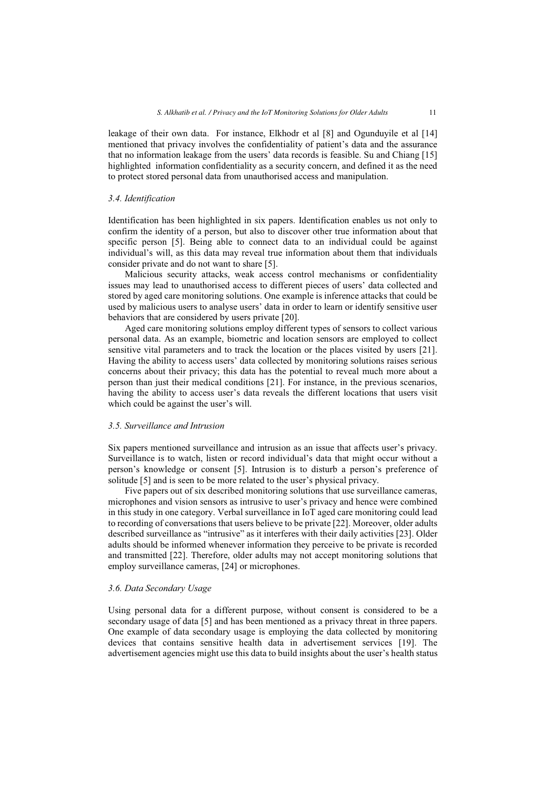leakage of their own data. For instance, Elkhodr et al [8] and Ogunduyile et al [14] mentioned that privacy involves the confidentiality of patient's data and the assurance that no information leakage from the users' data records is feasible. Su and Chiang [15] highlighted information confidentiality as a security concern, and defined it as the need to protect stored personal data from unauthorised access and manipulation.

#### *3.4. Identification*

Identification has been highlighted in six papers. Identification enables us not only to confirm the identity of a person, but also to discover other true information about that specific person [5]. Being able to connect data to an individual could be against individual's will, as this data may reveal true information about them that individuals consider private and do not want to share [5].

Malicious security attacks, weak access control mechanisms or confidentiality issues may lead to unauthorised access to different pieces of users' data collected and stored by aged care monitoring solutions. One example is inference attacks that could be used by malicious users to analyse users' data in order to learn or identify sensitive user behaviors that are considered by users private [20].

Aged care monitoring solutions employ different types of sensors to collect various personal data. As an example, biometric and location sensors are employed to collect sensitive vital parameters and to track the location or the places visited by users [21]. Having the ability to access users' data collected by monitoring solutions raises serious concerns about their privacy; this data has the potential to reveal much more about a person than just their medical conditions [21]. For instance, in the previous scenarios, having the ability to access user's data reveals the different locations that users visit which could be against the user's will.

#### *3.5. Surveillance and Intrusion*

Six papers mentioned surveillance and intrusion as an issue that affects user's privacy. Surveillance is to watch, listen or record individual's data that might occur without a person's knowledge or consent [5]. Intrusion is to disturb a person's preference of solitude [5] and is seen to be more related to the user's physical privacy.

Five papers out of six described monitoring solutions that use surveillance cameras, microphones and vision sensors as intrusive to user's privacy and hence were combined in this study in one category. Verbal surveillance in IoT aged care monitoring could lead to recording of conversations that users believe to be private [22]. Moreover, older adults described surveillance as "intrusive" as it interferes with their daily activities [23]. Older adults should be informed whenever information they perceive to be private is recorded and transmitted [22]. Therefore, older adults may not accept monitoring solutions that employ surveillance cameras, [24] or microphones.

## *3.6. Data Secondary Usage*

Using personal data for a different purpose, without consent is considered to be a secondary usage of data [5] and has been mentioned as a privacy threat in three papers. One example of data secondary usage is employing the data collected by monitoring devices that contains sensitive health data in advertisement services [19]. The advertisement agencies might use this data to build insights about the user's health status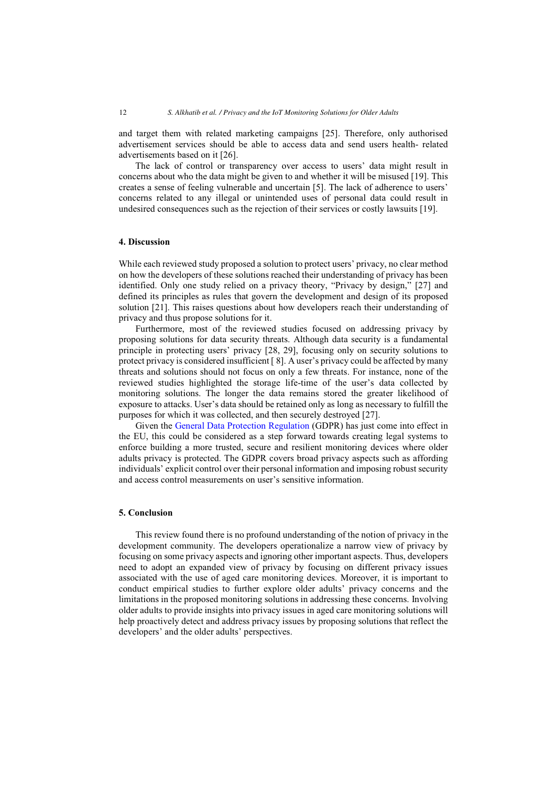and target them with related marketing campaigns [25]. Therefore, only authorised advertisement services should be able to access data and send users health- related advertisements based on it [26].

The lack of control or transparency over access to users' data might result in concerns about who the data might be given to and whether it will be misused [19]. This creates a sense of feeling vulnerable and uncertain [5]. The lack of adherence to users' concerns related to any illegal or unintended uses of personal data could result in undesired consequences such as the rejection of their services or costly lawsuits [19].

#### **4. Discussion**

While each reviewed study proposed a solution to protect users' privacy, no clear method on how the developers of these solutions reached their understanding of privacy has been identified. Only one study relied on a privacy theory, "Privacy by design," [27] and defined its principles as rules that govern the development and design of its proposed solution [21]. This raises questions about how developers reach their understanding of privacy and thus propose solutions for it.

Furthermore, most of the reviewed studies focused on addressing privacy by proposing solutions for data security threats. Although data security is a fundamental principle in protecting users' privacy [28, 29], focusing only on security solutions to protect privacy is considered insufficient [ 8]. A user's privacy could be affected by many threats and solutions should not focus on only a few threats. For instance, none of the reviewed studies highlighted the storage life-time of the user's data collected by monitoring solutions. The longer the data remains stored the greater likelihood of exposure to attacks. User's data should be retained only as long as necessary to fulfill the purposes for which it was collected, and then securely destroyed [27].

Given th[e General Data Protection Regulation](https://gdpr-info.eu/) (GDPR) has just come into effect in the EU, this could be considered as a step forward towards creating legal systems to enforce building a more trusted, secure and resilient monitoring devices where older adults privacy is protected. The GDPR covers broad privacy aspects such as affording individuals' explicit control over their personal information and imposing robust security and access control measurements on user's sensitive information.

## **5. Conclusion**

This review found there is no profound understanding of the notion of privacy in the development community. The developers operationalize a narrow view of privacy by focusing on some privacy aspects and ignoring other important aspects. Thus, developers need to adopt an expanded view of privacy by focusing on different privacy issues associated with the use of aged care monitoring devices. Moreover, it is important to conduct empirical studies to further explore older adults' privacy concerns and the limitations in the proposed monitoring solutions in addressing these concerns. Involving older adults to provide insights into privacy issues in aged care monitoring solutions will help proactively detect and address privacy issues by proposing solutions that reflect the developers' and the older adults' perspectives.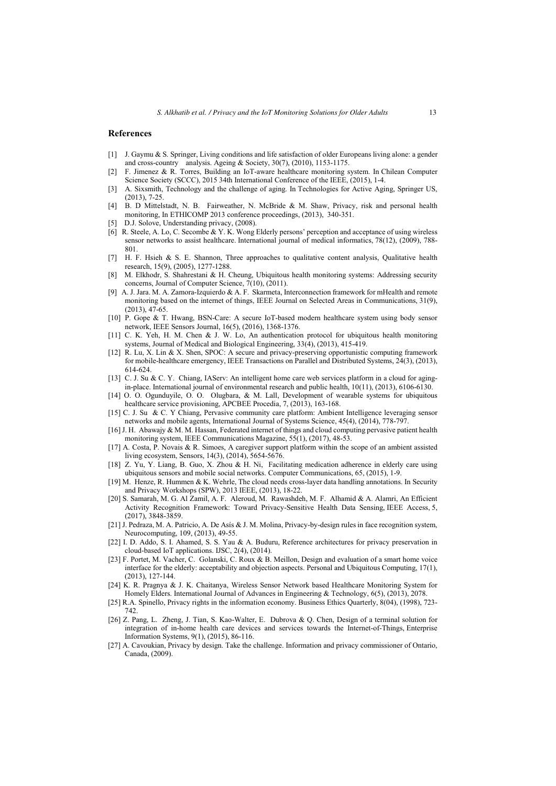#### **References**

- [1] J. Gaymu & S. Springer, Living conditions and life satisfaction of older Europeans living alone: a gender and cross-country analysis. Ageing & Society, 30(7), (2010), 1153-1175.
- [2] F. Jimenez & R. Torres, Building an IoT-aware healthcare monitoring system. In Chilean Computer Science Society (SCCC), 2015 34th International Conference of the IEEE, (2015), 1-4.
- [3] A. Sixsmith, Technology and the challenge of aging. In Technologies for Active Aging, Springer US, (2013), 7-25.
- [4] B. D Mittelstadt, N. B. Fairweather, N. McBride & M. Shaw, Privacy, risk and personal health monitoring, In ETHICOMP 2013 conference proceedings, (2013), 340-351.
- [5] D.J. Solove, Understanding privacy,  $(2008)$ .
- [6] R. Steele, A. Lo, C. Secombe & Y. K. Wong Elderly persons' perception and acceptance of using wireless sensor networks to assist healthcare. International journal of medical informatics, 78(12), (2009), 788- 801.
- [7] H. F. Hsieh & S. E. Shannon, Three approaches to qualitative content analysis, Qualitative health research, 15(9), (2005), 1277-1288.
- [8] M. Elkhodr, S. Shahrestani & H. Cheung, Ubiquitous health monitoring systems: Addressing security concerns, Journal of Computer Science, 7(10), (2011).
- [9] A. J. Jara. M. A. Zamora-Izquierdo & A. F. Skarmeta, Interconnection framework for mHealth and remote monitoring based on the internet of things, IEEE Journal on Selected Areas in Communications, 31(9), (2013), 47-65.
- [10] P. Gope & T. Hwang, BSN-Care: A secure IoT-based modern healthcare system using body sensor network, IEEE Sensors Journal, 16(5), (2016), 1368-1376.
- [11] C. K. Yeh, H. M. Chen & J. W. Lo, An authentication protocol for ubiquitous health monitoring systems, Journal of Medical and Biological Engineering, 33(4), (2013), 415-419.
- [12] R. Lu, X. Lin & X. Shen, SPOC: A secure and privacy-preserving opportunistic computing framework for mobile-healthcare emergency, IEEE Transactions on Parallel and Distributed Systems, 24(3), (2013), 614-624.
- [13] C. J. Su & C. Y. Chiang, IAServ: An intelligent home care web services platform in a cloud for agingin-place. International journal of environmental research and public health, 10(11), (2013), 6106-6130.
- [14] O. O. Ogunduyile, O. O. Olugbara, & M. Lall, Development of wearable systems for ubiquitous healthcare service provisioning, APCBEE Procedia, 7, (2013), 163-168.
- [15] C. J. Su & C. Y Chiang, Pervasive community care platform: Ambient Intelligence leveraging sensor networks and mobile agents, International Journal of Systems Science, 45(4), (2014), 778-797.
- [16] J. H. Abawajy & M. M. Hassan, Federated internet of things and cloud computing pervasive patient health monitoring system, IEEE Communications Magazine, 55(1), (2017), 48-53.
- [17] A. Costa, P. Novais & R. Simoes, A caregiver support platform within the scope of an ambient assisted living ecosystem, Sensors, 14(3), (2014), 5654-5676.
- [18] Z. Yu, Y. Liang, B. Guo, X. Zhou & H. Ni, Facilitating medication adherence in elderly care using ubiquitous sensors and mobile social networks. Computer Communications, 65, (2015), 1-9.
- [19] M. Henze, R. Hummen & K. Wehrle, The cloud needs cross-layer data handling annotations. In Security and Privacy Workshops (SPW), 2013 IEEE, (2013), 18-22.
- [20] S. Samarah, M. G. Al Zamil, A. F. Aleroud, M. Rawashdeh, M. F. Alhamid & A. Alamri, An Efficient Activity Recognition Framework: Toward Privacy-Sensitive Health Data Sensing, IEEE Access, 5, (2017), 3848-3859.
- [21] J. Pedraza, M. A. Patricio, A. De Asís & J. M. Molina, Privacy-by-design rules in face recognition system, Neurocomputing, 109, (2013), 49-55.
- [22] I. D. Addo, S. I. Ahamed, S. S. Yau & A. Buduru, Reference architectures for privacy preservation in cloud-based IoT applications. IJSC, 2(4), (2014).
- [23] F. Portet, M. Vacher, C. Golanski, C. Roux & B. Meillon, Design and evaluation of a smart home voice interface for the elderly: acceptability and objection aspects. Personal and Ubiquitous Computing, 17(1), (2013), 127-144.
- [24] K. R. Pragnya & J. K. Chaitanya, Wireless Sensor Network based Healthcare Monitoring System for Homely Elders. International Journal of Advances in Engineering & Technology, 6(5), (2013), 2078.
- [25] R.A. Spinello, Privacy rights in the information economy. Business Ethics Quarterly, 8(04), (1998), 723- 742.
- [26] Z. Pang, L. Zheng, J. Tian, S. Kao-Walter, E. Dubrova & Q. Chen, Design of a terminal solution for integration of in-home health care devices and services towards the Internet-of-Things, Enterprise Information Systems, 9(1), (2015), 86-116.
- [27] A. Cavoukian, Privacy by design. Take the challenge. Information and privacy commissioner of Ontario, Canada, (2009).